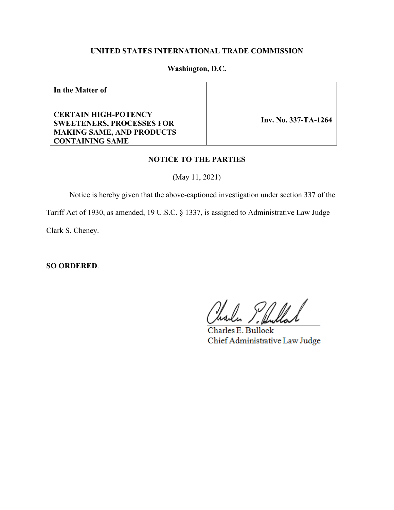# **UNITED STATES INTERNATIONAL TRADE COMMISSION**

#### **Washington, D.C.**

**In the Matter of**

**CERTAIN HIGH-POTENCY SWEETENERS, PROCESSES FOR MAKING SAME, AND PRODUCTS CONTAINING SAME**

 **Inv. No. 337-TA-1264**

#### **NOTICE TO THE PARTIES**

(May 11, 2021)

Notice is hereby given that the above-captioned investigation under section 337 of the

Tariff Act of 1930, as amended, 19 U.S.C. § 1337, is assigned to Administrative Law Judge

Clark S. Cheney.

**SO ORDERED**.

Charles E. Bullock Chief Administrative Law Judge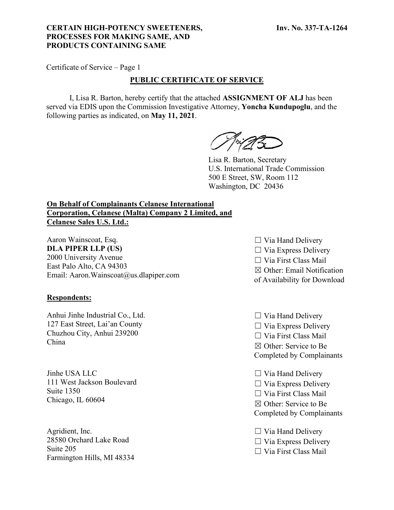## **CERTAIN HIGH-POTENCY SWEETENERS, PROCESSES FOR MAKING SAME, AND PRODUCTS CONTAINING SAME**

Certificate of Service – Page 1

## **PUBLIC CERTIFICATE OF SERVICE**

I, Lisa R. Barton, hereby certify that the attached **ASSIGNMENT OF ALJ** has been served via EDIS upon the Commission Investigative Attorney, **Yoncha Kundupoglu**, and the following parties as indicated, on **May 11, 2021**.

Lisa R. Barton, Secretary U.S. International Trade Commission 500 E Street, SW, Room 112 Washington, DC 20436

# **On Behalf of Complainants Celanese International Corporation, Celanese (Malta) Company 2 Limited, and Celanese Sales U.S. Ltd.:**

Aaron Wainscoat, Esq. **DLA PIPER LLP (US)** 2000 University Avenue East Palo Alto, CA 94303 Email: Aaron.Wainscoat@us.dlapiper.com

### **Respondents:**

Anhui Jinhe Industrial Co., Ltd. 127 East Street, Lai'an County Chuzhou City, Anhui 239200 China

Jinhe USA LLC 111 West Jackson Boulevard Suite 1350 Chicago, IL 60604

Agridient, Inc. 28580 Orchard Lake Road Suite 205 Farmington Hills, MI 48334

- $\Box$  Via Hand Delivery  $\Box$  Via Express Delivery ☐ Via First Class Mail ☒ Other: Email Notification of Availability for Download
- $\Box$  Via Hand Delivery  $\Box$  Via Express Delivery ☐ Via First Class Mail ☒ Other: Service to Be Completed by Complainants
- $\Box$  Via Hand Delivery  $\Box$  Via Express Delivery ☐ Via First Class Mail ☒ Other: Service to Be Completed by Complainants

 $\Box$  Via Hand Delivery  $\Box$  Via Express Delivery ☐ Via First Class Mail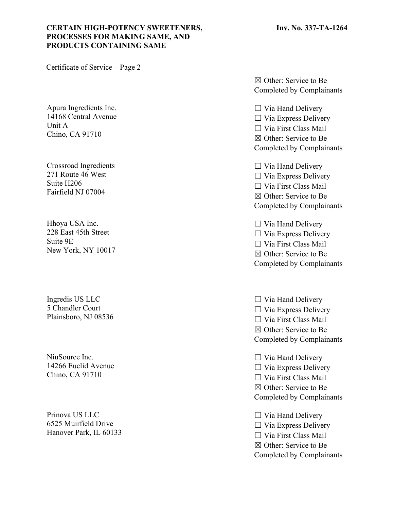# **CERTAIN HIGH-POTENCY SWEETENERS, PROCESSES FOR MAKING SAME, AND PRODUCTS CONTAINING SAME**

Certificate of Service – Page 2

Apura Ingredients Inc. 14168 Central Avenue Unit A Chino, CA 91710

Crossroad Ingredients 271 Route 46 West Suite H206 Fairfield NJ 07004

Hhoya USA Inc. 228 East 45th Street Suite 9E New York, NY 10017

Ingredis US LLC 5 Chandler Court Plainsboro, NJ 08536

NiuSource Inc. 14266 Euclid Avenue Chino, CA 91710

Prinova US LLC 6525 Muirfield Drive Hanover Park, IL 60133

☒ Other: Service to Be Completed by Complainants

☐ Via Hand Delivery  $\Box$  Via Express Delivery ☐ Via First Class Mail ☒ Other: Service to Be Completed by Complainants

 $\Box$  Via Hand Delivery ☐ Via Express Delivery ☐ Via First Class Mail ☒ Other: Service to Be Completed by Complainants

 $\Box$  Via Hand Delivery  $\Box$  Via Express Delivery ☐ Via First Class Mail ☒ Other: Service to Be Completed by Complainants

 $\Box$  Via Hand Delivery  $\Box$  Via Express Delivery ☐ Via First Class Mail ☒ Other: Service to Be Completed by Complainants

 $\Box$  Via Hand Delivery  $\Box$  Via Express Delivery ☐ Via First Class Mail ☒ Other: Service to Be Completed by Complainants

 $\Box$  Via Hand Delivery  $\Box$  Via Express Delivery ☐ Via First Class Mail ☒ Other: Service to Be Completed by Complainants